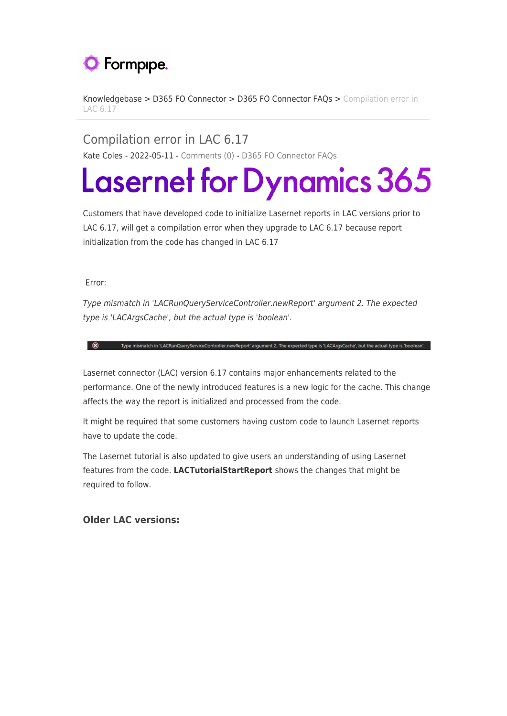## **O** Formpipe.

[Knowledgebase](https://support.formpipe.com/kb) > [D365 FO Connector](https://support.formpipe.com/kb/d365-fo-connector) > [D365 FO Connector FAQs](https://support.formpipe.com/kb/d365-fo-connector-faqs) > [Compilation error in](https://support.formpipe.com/kb/articles/compilation-error-in-lac-6-17) [LAC 6.17](https://support.formpipe.com/kb/articles/compilation-error-in-lac-6-17)

Compilation error in LAC 6.17 Kate Coles - 2022-05-11 - [Comments \(0\)](#page--1-0) - [D365 FO Connector FAQs](https://support.formpipe.com/kb/d365-fo-connector-faqs)

## **Lasernet for Dynamics 365**

Customers that have developed code to initialize Lasernet reports in LAC versions prior to LAC 6.17, will get a compilation error when they upgrade to LAC 6.17 because report initialization from the code has changed in LAC 6.17

Error:

Type mismatch in 'LACRunQueryServiceController.newReport' argument 2. The expected type is 'LACArgsCache', but the actual type is 'boolean'.

(S) Type mismatch in 'LACRunQueryServiceController.newReport' argument 2. The expected type is 'LACArgsCache', but the actual type is 'boolean'.

Lasernet connector (LAC) version 6.17 contains major enhancements related to the performance. One of the newly introduced features is a new logic for the cache. This change affects the way the report is initialized and processed from the code.

It might be required that some customers having custom code to launch Lasernet reports have to update the code.

The Lasernet tutorial is also updated to give users an understanding of using Lasernet features from the code. **LACTutorialStartReport** shows the changes that might be required to follow.

**Older LAC versions:**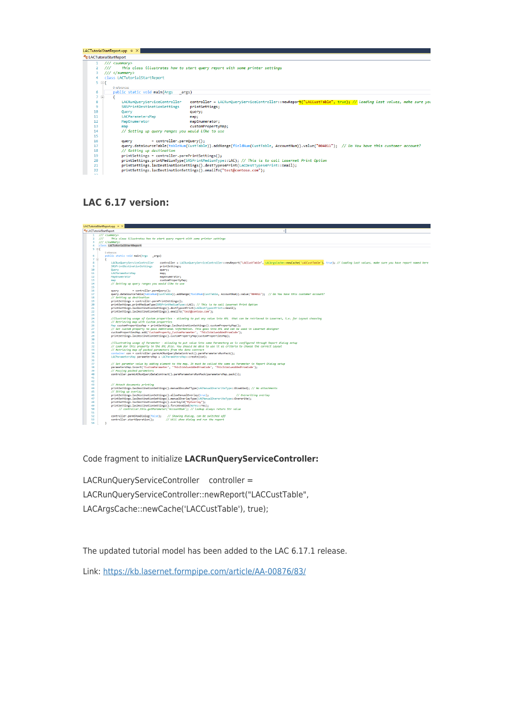| LACTutorialStartReport.xpp $\div \times$ |                                                                                                                                             |                                                                                                                   |  |  |  |
|------------------------------------------|---------------------------------------------------------------------------------------------------------------------------------------------|-------------------------------------------------------------------------------------------------------------------|--|--|--|
| LACTutorialStartReport                   |                                                                                                                                             |                                                                                                                   |  |  |  |
|                                          | $111$ <summary></summary>                                                                                                                   |                                                                                                                   |  |  |  |
|                                          | This class illustrates how to start query report with some printer settings<br>$^{\prime\prime\prime}$                                      |                                                                                                                   |  |  |  |
|                                          | $111 <$ /summary>                                                                                                                           |                                                                                                                   |  |  |  |
|                                          | class LACTutorialStartReport                                                                                                                |                                                                                                                   |  |  |  |
|                                          | $5 \quad \Box$                                                                                                                              |                                                                                                                   |  |  |  |
|                                          | 0 references                                                                                                                                |                                                                                                                   |  |  |  |
| 6                                        | public static void main(Args<br>args)                                                                                                       |                                                                                                                   |  |  |  |
|                                          | E                                                                                                                                           |                                                                                                                   |  |  |  |
| 8                                        | LACRunQueryServiceController                                                                                                                | controller = LACRunQueryServiceController::newReport("LACCustTable", true); // loading last values, make sure you |  |  |  |
| ۹                                        | SRSPrintDestinationSettings                                                                                                                 | printSettings;                                                                                                    |  |  |  |
| 10                                       | Query                                                                                                                                       | query;                                                                                                            |  |  |  |
| 11                                       | LACParametersMap                                                                                                                            | map:                                                                                                              |  |  |  |
| 12                                       | MapEnumerator                                                                                                                               | mapEnumerator;                                                                                                    |  |  |  |
| 13                                       | map                                                                                                                                         | customPropertyMap;                                                                                                |  |  |  |
| 14                                       | // Setting up guery ranges you would like to use                                                                                            |                                                                                                                   |  |  |  |
| 15                                       |                                                                                                                                             |                                                                                                                   |  |  |  |
| 16                                       | $=$ controller.parmQuery();<br>query                                                                                                        |                                                                                                                   |  |  |  |
| 17                                       | query.dataSourceTable(tableNum(CustTable)).addRange(fieldNum(CustTable, AccountNum)).value("004011"); // Do You have this customer account? |                                                                                                                   |  |  |  |
| 18                                       | // Setting up destination                                                                                                                   |                                                                                                                   |  |  |  |
| 19                                       | printSettings = controller.parmPrintSettings();                                                                                             |                                                                                                                   |  |  |  |
| 20                                       | printSettings.printMediumType(SRSPrintMediumType::LAC); // This is to call Lasernet Print Option                                            |                                                                                                                   |  |  |  |
| 21                                       | printSettings.lacDestinationSettings().destTypes4Print(LACDestTypes4Print::Email);                                                          |                                                                                                                   |  |  |  |
| 22                                       | printSettings.lacDestinationSettings().emailTo("test@contoso.com");                                                                         |                                                                                                                   |  |  |  |
| 22                                       |                                                                                                                                             |                                                                                                                   |  |  |  |

## **LAC 6.17 version:**



Code fragment to initialize **LACRunQueryServiceController:**

LACRunQueryServiceController controller = LACRunQueryServiceController::newReport("LACCustTable", LACArgsCache::newCache('LACCustTable'), true);

The updated tutorial model has been added to the LAC 6.17.1 release.

Link:<https://kb.lasernet.formpipe.com/article/AA-00876/83/>